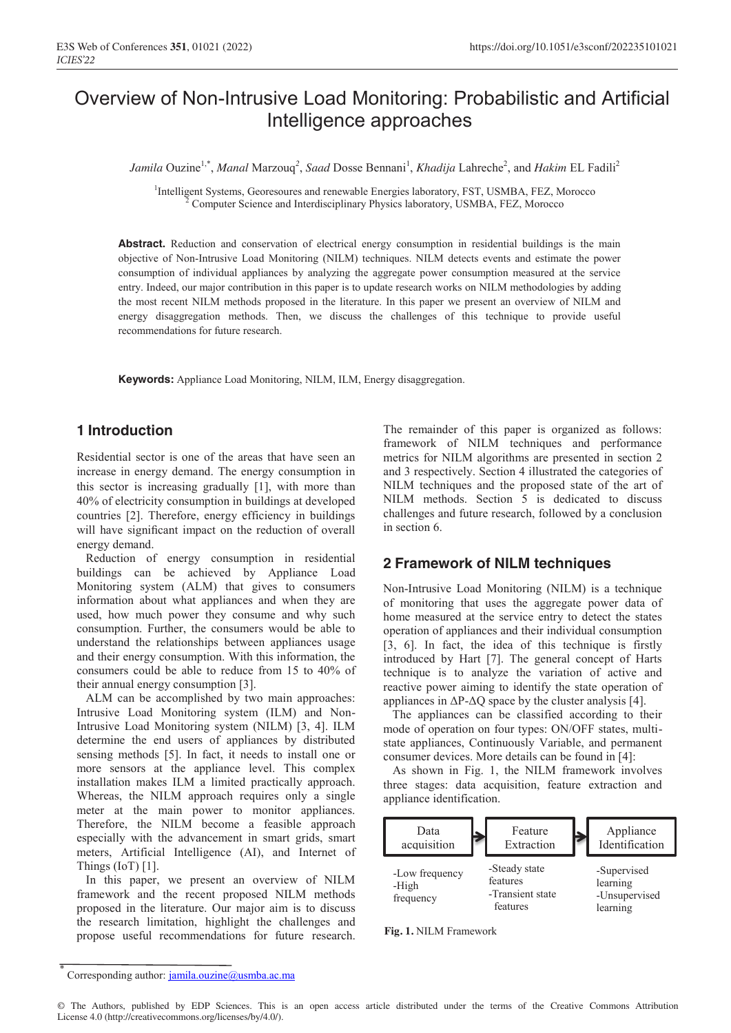# Overview of Non-Intrusive Load Monitoring: Probabilistic and Artificial Intelligence approaches

*Jamila* Ouzine<sup>1,\*</sup>, *Manal* Marzouq<sup>2</sup>, *Saad* Dosse Bennani<sup>1</sup>, *Khadija* Lahreche<sup>2</sup>, and *Hakim* EL Fadili<sup>2</sup>

<sup>1</sup>Intelligent Systems, Georesoures and renewable Energies laboratory, FST, USMBA, FEZ, Morocco Computer Science and Interdisciplinary Physics laboratory, USMBA, FEZ, Morocco

Abstract. Reduction and conservation of electrical energy consumption in residential buildings is the main objective of Non-Intrusive Load Monitoring (NILM) techniques. NILM detects events and estimate the power consumption of individual appliances by analyzing the aggregate power consumption measured at the service entry. Indeed, our major contribution in this paper is to update research works on NILM methodologies by adding the most recent NILM methods proposed in the literature. In this paper we present an overview of NILM and energy disaggregation methods. Then, we discuss the challenges of this technique to provide useful recommendations for future research.

**Keywords:** Appliance Load Monitoring, NILM, ILM, Energy disaggregation.

#### **1 Introduction**

Residential sector is one of the areas that have seen an increase in energy demand. The energy consumption in this sector is increasing gradually [1], with more than 40% of electricity consumption in buildings at developed countries [2]. Therefore, energy efficiency in buildings will have significant impact on the reduction of overall energy demand.

 Reduction of energy consumption in residential buildings can be achieved by Appliance Load Monitoring system (ALM) that gives to consumers information about what appliances and when they are used, how much power they consume and why such consumption. Further, the consumers would be able to understand the relationships between appliances usage and their energy consumption. With this information, the consumers could be able to reduce from 15 to 40% of their annual energy consumption [3].

 ALM can be accomplished by two main approaches: Intrusive Load Monitoring system (ILM) and Non-Intrusive Load Monitoring system (NILM) [3, 4]. ILM determine the end users of appliances by distributed sensing methods [5]. In fact, it needs to install one or more sensors at the appliance level. This complex installation makes ILM a limited practically approach. Whereas, the NILM approach requires only a single meter at the main power to monitor appliances. Therefore, the NILM become a feasible approach especially with the advancement in smart grids, smart meters, Artificial Intelligence (AI), and Internet of Things  $(IoT)$  [1].

 In this paper, we present an overview of NILM framework and the recent proposed NILM methods proposed in the literature. Our major aim is to discuss the research limitation, highlight the challenges and propose useful recommendations for future research.

The remainder of this paper is organized as follows: framework of NILM techniques and performance metrics for NILM algorithms are presented in section 2 and 3 respectively. Section 4 illustrated the categories of NILM techniques and the proposed state of the art of NILM methods. Section 5 is dedicated to discuss challenges and future research, followed by a conclusion in section 6.

#### **2 Framework of NILM techniques**

Non-Intrusive Load Monitoring (NILM) is a technique of monitoring that uses the aggregate power data of home measured at the service entry to detect the states operation of appliances and their individual consumption [3, 6]. In fact, the idea of this technique is firstly introduced by Hart [7]. The general concept of Harts technique is to analyze the variation of active and reactive power aiming to identify the state operation of appliances in  $\Delta P-\Delta Q$  space by the cluster analysis [4].

 The appliances can be classified according to their mode of operation on four types: ON/OFF states, multistate appliances, Continuously Variable, and permanent consumer devices. More details can be found in [4]:

 As shown in Fig. 1, the NILM framework involves three stages: data acquisition, feature extraction and appliance identification.





Corresponding author: jamila.ouzine@usmba.ac.ma

<sup>©</sup> The Authors, published by EDP Sciences. This is an open access article distributed under the terms of the Creative Commons Attribution License 4.0 (http://creativecommons.org/licenses/by/4.0/).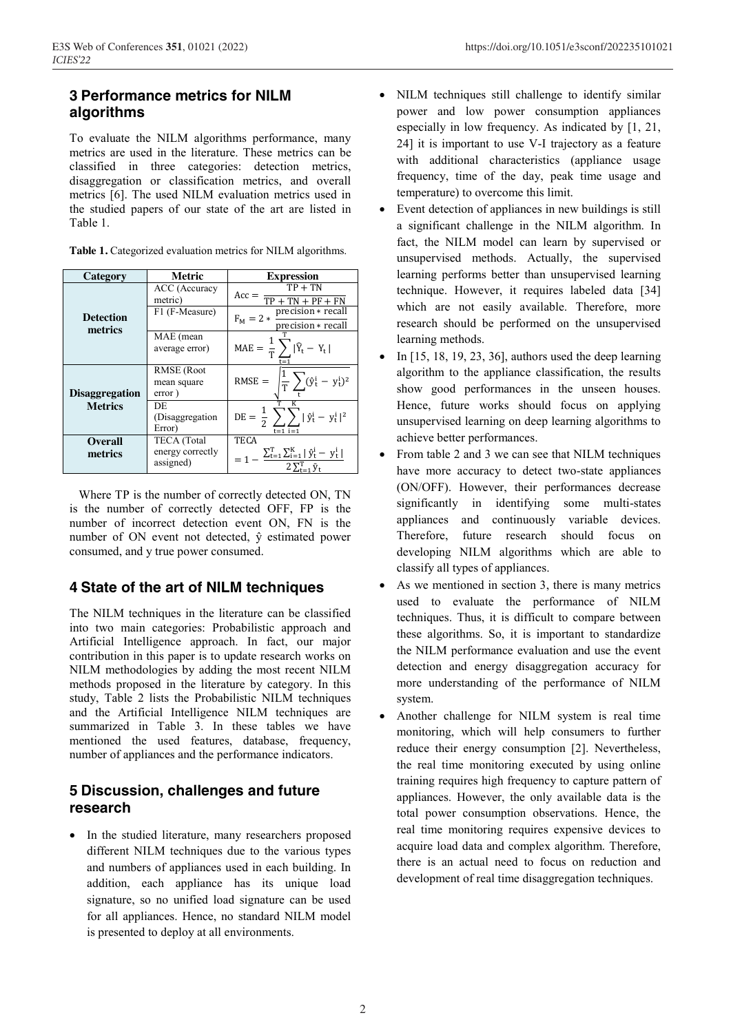### **3 Performance metrics for NILM algorithms**

To evaluate the NILM algorithms performance, many metrics are used in the literature. These metrics can be classified in three categories: detection metrics, disaggregation or classification metrics, and overall metrics [6]. The used NILM evaluation metrics used in the studied papers of our state of the art are listed in Table 1.

| Category                    | Metric                                              | <b>Expression</b>                                                                                                            |
|-----------------------------|-----------------------------------------------------|------------------------------------------------------------------------------------------------------------------------------|
|                             | ACC (Accuracy<br>metric)                            | $TP + TN$<br>$Acc =$<br>$TP + TN + PF + FN$                                                                                  |
| <b>Detection</b><br>metrics | F1 (F-Measure)                                      | precision * recall<br>$F_M = 2 *$<br>precision * recall                                                                      |
|                             | MAE (mean<br>average error)                         | MAE = $\frac{1}{T}\sum  \hat{Y}_t - Y_t $                                                                                    |
| <b>Disaggregation</b>       | <b>RMSE</b> (Root<br>mean square<br>error)          | $\frac{1}{T}\sum_{t}(\hat{y}_{t}^{i} - y_{t}^{i})^{2}$<br>$RMSE =$                                                           |
| <b>Metrics</b>              | DE<br>(Disaggregation)<br>Error)                    | $DE = \frac{1}{2} \sum_i  \hat{y}_t^i - y_t^i ^2$<br>$t = 1$ $i = 1$                                                         |
| <b>Overall</b><br>metrics   | <b>TECA</b> (Total<br>energy correctly<br>assigned) | <b>TECA</b><br>$= 1 - \frac{\sum_{t=1}^{T} \sum_{i=1}^{K}   \hat{y}_{t}^{i} - y_{t}^{i}  }{1 - \sum_{t=1}^{T}  y_{t}^{i}  }$ |

**Table 1.** Categorized evaluation metrics for NILM algorithms.

 Where TP is the number of correctly detected ON, TN is the number of correctly detected OFF, FP is the number of incorrect detection event ON, FN is the number of ON event not detected, ŷ estimated power consumed, and y true power consumed.

#### **4 State of the art of NILM techniques**

The NILM techniques in the literature can be classified into two main categories: Probabilistic approach and Artificial Intelligence approach. In fact, our major contribution in this paper is to update research works on NILM methodologies by adding the most recent NILM methods proposed in the literature by category. In this study, Table 2 lists the Probabilistic NILM techniques and the Artificial Intelligence NILM techniques are summarized in Table 3. In these tables we have mentioned the used features, database, frequency, number of appliances and the performance indicators.

## **5 Discussion, challenges and future research**

• In the studied literature, many researchers proposed different NILM techniques due to the various types and numbers of appliances used in each building. In addition, each appliance has its unique load signature, so no unified load signature can be used for all appliances. Hence, no standard NILM model is presented to deploy at all environments.

- NILM techniques still challenge to identify similar power and low power consumption appliances especially in low frequency. As indicated by [1, 21, 24] it is important to use V-I trajectory as a feature with additional characteristics (appliance usage frequency, time of the day, peak time usage and temperature) to overcome this limit.
- Event detection of appliances in new buildings is still a significant challenge in the NILM algorithm. In fact, the NILM model can learn by supervised or unsupervised methods. Actually, the supervised learning performs better than unsupervised learning technique. However, it requires labeled data [34] which are not easily available. Therefore, more research should be performed on the unsupervised learning methods.
- In [15, 18, 19, 23, 36], authors used the deep learning algorithm to the appliance classification, the results show good performances in the unseen houses. Hence, future works should focus on applying unsupervised learning on deep learning algorithms to achieve better performances.
- From table 2 and 3 we can see that NILM techniques have more accuracy to detect two-state appliances (ON/OFF). However, their performances decrease significantly in identifying some multi-states appliances and continuously variable devices. Therefore, future research should focus on developing NILM algorithms which are able to classify all types of appliances.
- As we mentioned in section 3, there is many metrics used to evaluate the performance of NILM techniques. Thus, it is difficult to compare between these algorithms. So, it is important to standardize the NILM performance evaluation and use the event detection and energy disaggregation accuracy for more understanding of the performance of NILM system.
- Another challenge for NILM system is real time monitoring, which will help consumers to further reduce their energy consumption [2]. Nevertheless, the real time monitoring executed by using online training requires high frequency to capture pattern of appliances. However, the only available data is the total power consumption observations. Hence, the real time monitoring requires expensive devices to acquire load data and complex algorithm. Therefore, there is an actual need to focus on reduction and development of real time disaggregation techniques.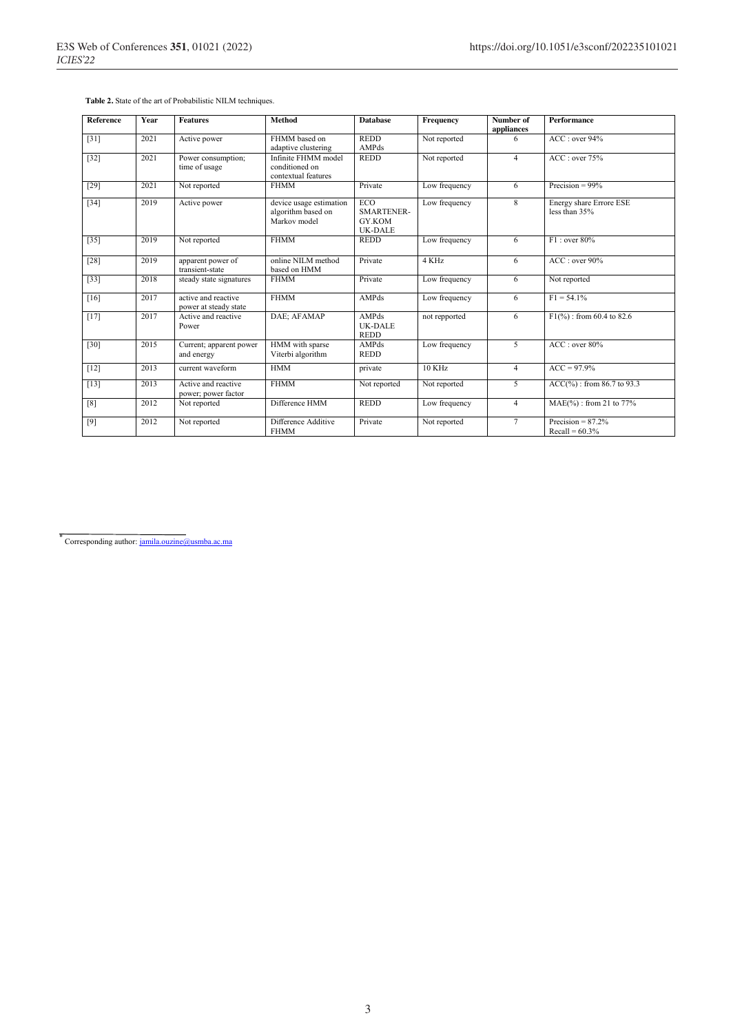| <b>Reference</b> | Year | <b>Features</b>                              | Method                                                        | <b>Database</b>                               | Frequency     | Number of<br>appliances | <b>Performance</b>                        |
|------------------|------|----------------------------------------------|---------------------------------------------------------------|-----------------------------------------------|---------------|-------------------------|-------------------------------------------|
| $[31]$           | 2021 | Active power                                 | FHMM based on<br>adaptive clustering                          | <b>REDD</b><br>AMPds                          | Not reported  | 6                       | ACC: over 94%                             |
| $[32]$           | 2021 | Power consumption;<br>time of usage          | Infinite FHMM model<br>conditioned on<br>contextual features  | <b>REDD</b>                                   | Not reported  | $\overline{4}$          | ACC: over 75%                             |
| $[29]$           | 2021 | Not reported                                 | <b>FHMM</b>                                                   | Private                                       | Low frequency | 6                       | Precision = $99\%$                        |
| $[34]$           | 2019 | Active power                                 | device usage estimation<br>algorithm based on<br>Markov model | ECO<br>SMARTENER-<br>GY.KOM<br><b>UK-DALE</b> | Low frequency | 8                       | Energy share Errore ESE<br>less than 35%  |
| $[35]$           | 2019 | Not reported                                 | <b>FHMM</b>                                                   | <b>REDD</b>                                   | Low frequency | 6                       | F1: over 80%                              |
| $[28]$           | 2019 | apparent power of<br>transient-state         | online NILM method<br>based on HMM                            | Private                                       | 4 KHz         | 6                       | ACC: over 90%                             |
| $[33]$           | 2018 | steady state signatures                      | <b>FHMM</b>                                                   | Private                                       | Low frequency | 6                       | Not reported                              |
| [16]             | 2017 | active and reactive<br>power at steady state | <b>FHMM</b>                                                   | AMPds                                         | Low frequency | 6                       | $F1 = 54.1\%$                             |
| $[17]$           | 2017 | Active and reactive<br>Power                 | DAE; AFAMAP                                                   | AMPds<br>UK-DALE<br><b>REDD</b>               | not repported | 6                       | $F1(\%)$ : from 60.4 to 82.6              |
| $[30]$           | 2015 | Current; apparent power<br>and energy        | HMM with sparse<br>Viterbi algorithm                          | AMPds<br><b>REDD</b>                          | Low frequency | 5                       | ACC: over 80%                             |
| $[12]$           | 2013 | current waveform                             | <b>HMM</b>                                                    | private                                       | 10 KHz        | $\overline{4}$          | $ACC = 97.9%$                             |
| $[13]$           | 2013 | Active and reactive<br>power; power factor   | <b>FHMM</b>                                                   | Not reported                                  | Not reported  | 5                       | $ACC(%$ <sub>0</sub> ): from 86.7 to 93.3 |
| [8]              | 2012 | Not reported                                 | Difference HMM                                                | <b>REDD</b>                                   | Low frequency | $\overline{4}$          | MAE(%): from 21 to 77%                    |
| [9]              | 2012 | Not reported                                 | Difference Additive<br><b>FHMM</b>                            | Private                                       | Not reported  | $\tau$                  | Precision = $87.2\%$<br>$Recall = 60.3\%$ |

 **Table 2.** State of the art of Probabilistic NILM techniques.

\* Corresponding author: jamila.ouzine@usmba.ac.ma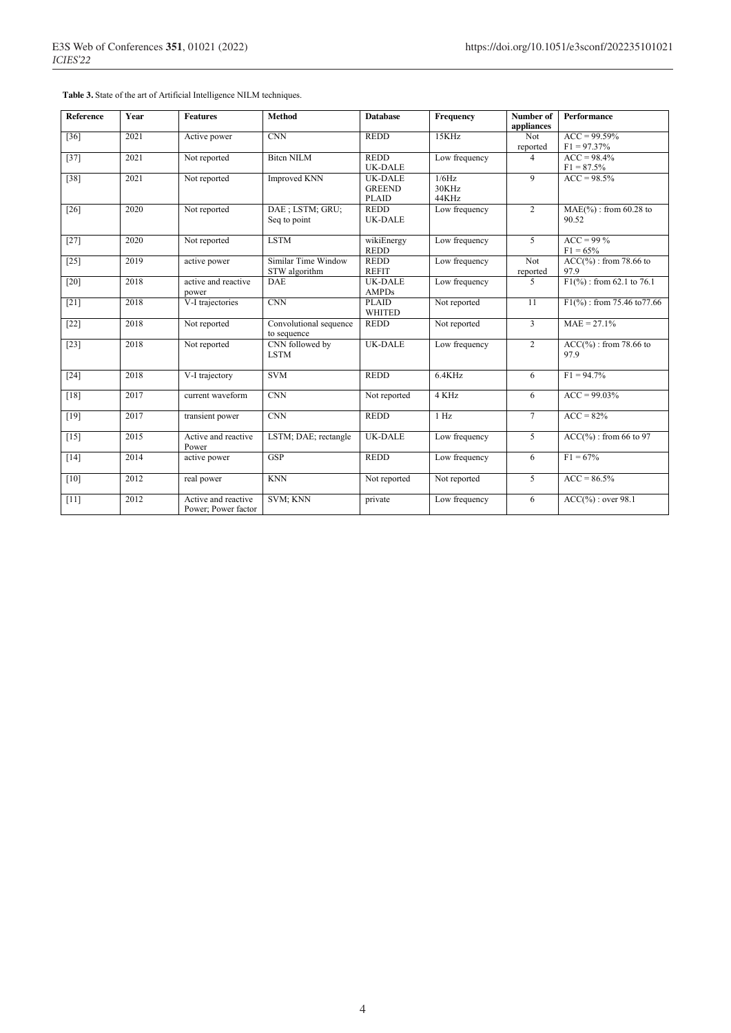**Table 3.** State of the art of Artificial Intelligence NILM techniques.

| <b>Reference</b>   | Year | <b>Features</b>                            | <b>Method</b>                         | <b>Database</b>                                 | Frequency               | Number of<br>appliances | <b>Performance</b>                           |
|--------------------|------|--------------------------------------------|---------------------------------------|-------------------------------------------------|-------------------------|-------------------------|----------------------------------------------|
| $[36]$             | 2021 | Active power                               | <b>CNN</b>                            | <b>REDD</b>                                     | 15KHz                   | Not<br>reported         | $ACC = 99.59\%$<br>$F1 = 97.37\%$            |
| $[37]$             | 2021 | Not reported                               | <b>Bitch NILM</b>                     | <b>REDD</b><br><b>UK-DALE</b>                   | Low frequency           | 4                       | $ACC = 98.4%$<br>$F1 = 87.5%$                |
| $\overline{38}$    | 2021 | Not reported                               | Improved KNN                          | <b>UK-DALE</b><br><b>GREEND</b><br><b>PLAID</b> | 1/6Hz<br>30KHz<br>44KHz | 9                       | $ACC = 98.5%$                                |
| $[26]$             | 2020 | Not reported                               | DAE ; LSTM; GRU;<br>Seq to point      | <b>REDD</b><br><b>UK-DALE</b>                   | Low frequency           | $\overline{2}$          | $MAE(\%):$ from 60.28 to<br>90.52            |
| $[27]$             | 2020 | Not reported                               | <b>LSTM</b>                           | wikiEnergy<br><b>REDD</b>                       | Low frequency           | 5                       | $ACC = 99\%$<br>$F1 = 65%$                   |
| $[25]$             | 2019 | active power                               | Similar Time Window<br>STW algorithm  | <b>REDD</b><br><b>REFIT</b>                     | Low frequency           | Not<br>reported         | $ACC(%$ <sub>0</sub> : from 78.66 to<br>97.9 |
| $\lceil 20 \rceil$ | 2018 | active and reactive<br>power               | <b>DAE</b>                            | <b>UK-DALE</b><br><b>AMPDs</b>                  | Low frequency           | 5                       | $F1\frac{9}{6}$ : from 62.1 to 76.1          |
| $[21]$             | 2018 | V-I trajectories                           | CNN                                   | <b>PLAID</b><br><b>WHITED</b>                   | Not reported            | $\overline{11}$         | $F1\binom{9}{0}$ : from 75.46 to 77.66       |
| $[22]$             | 2018 | Not reported                               | Convolutional sequence<br>to sequence | <b>REDD</b>                                     | Not reported            | $\overline{3}$          | $MAE = 27.1%$                                |
| $[23]$             | 2018 | Not reported                               | CNN followed by<br><b>LSTM</b>        | UK-DALE                                         | Low frequency           | $\overline{2}$          | $ACC(%$ <sub>0</sub> : from 78.66 to<br>97.9 |
| $[24]$             | 2018 | V-I trajectory                             | <b>SVM</b>                            | <b>REDD</b>                                     | 6.4KHz                  | 6                       | $F1 = 94.7\%$                                |
| $[18]$             | 2017 | current waveform                           | CNN                                   | Not reported                                    | 4 KHz                   | 6                       | $ACC = 99.03\%$                              |
| $[19]$             | 2017 | transient power                            | CNN                                   | <b>REDD</b>                                     | 1 Hz                    | $\tau$                  | $ACC = 82%$                                  |
| $[15]$             | 2015 | Active and reactive<br>Power               | LSTM; DAE; rectangle                  | <b>UK-DALE</b>                                  | Low frequency           | 5                       | $ACC(%$ <sub>0</sub> : from 66 to 97         |
| $[14]$             | 2014 | active power                               | <b>GSP</b>                            | <b>REDD</b>                                     | Low frequency           | 6                       | $F1 = 67\%$                                  |
| $[10]$             | 2012 | real power                                 | <b>KNN</b>                            | Not reported                                    | Not reported            | 5                       | $ACC = 86.5%$                                |
| $[11]$             | 2012 | Active and reactive<br>Power; Power factor | SVM; KNN                              | private                                         | Low frequency           | 6                       | $ACC(\%): over 98.1$                         |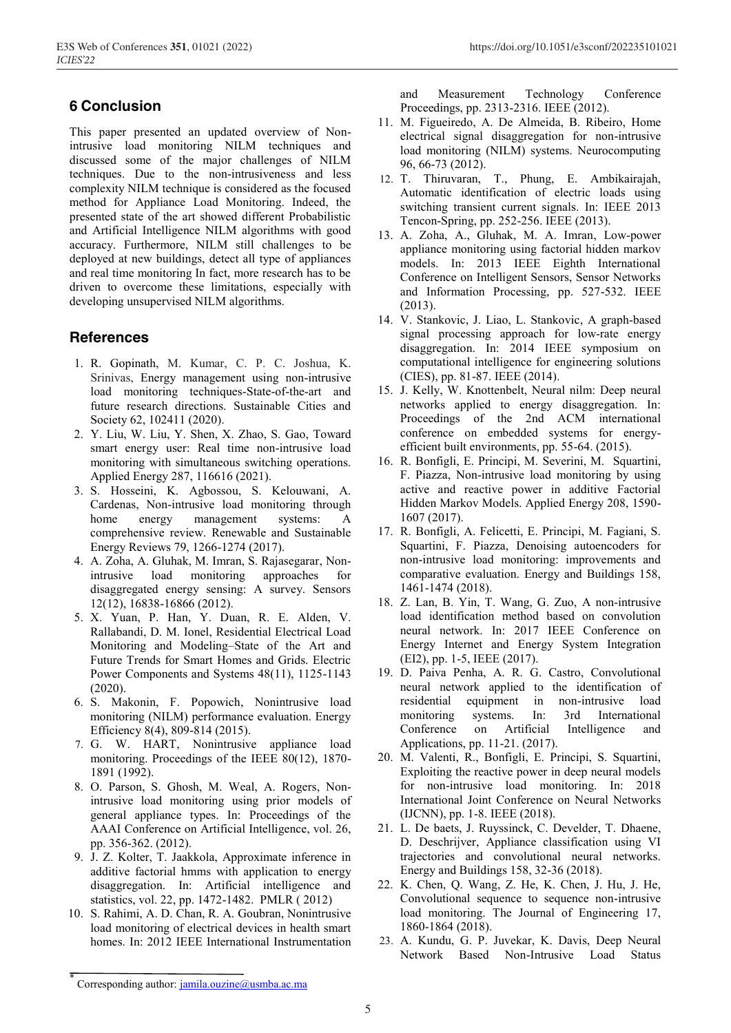## **6 Conclusion**

This paper presented an updated overview of Nonintrusive load monitoring NILM techniques and discussed some of the major challenges of NILM techniques. Due to the non-intrusiveness and less complexity NILM technique is considered as the focused method for Appliance Load Monitoring. Indeed, the presented state of the art showed different Probabilistic and Artificial Intelligence NILM algorithms with good accuracy. Furthermore, NILM still challenges to be deployed at new buildings, detect all type of appliances and real time monitoring In fact, more research has to be driven to overcome these limitations, especially with developing unsupervised NILM algorithms.

## **References**

- 1. R. Gopinath, M. Kumar, C. P. C. Joshua, K. Srinivas, Energy management using non-intrusive load monitoring techniques-State-of-the-art and future research directions. Sustainable Cities and Society 62, 102411 (2020).
- 2. Y. Liu, W. Liu, Y. Shen, X. Zhao, S. Gao, Toward smart energy user: Real time non-intrusive load monitoring with simultaneous switching operations. Applied Energy 287, 116616 (2021).
- 3. S. Hosseini, K. Agbossou, S. Kelouwani, A. Cardenas, Non-intrusive load monitoring through home energy management systems: A comprehensive review. Renewable and Sustainable Energy Reviews 79, 1266-1274 (2017).
- 4. A. Zoha, A. Gluhak, M. Imran, S. Rajasegarar, Nonintrusive load monitoring approaches for disaggregated energy sensing: A survey. Sensors 12(12), 16838-16866 (2012).
- 5. X. Yuan, P. Han, Y. Duan, R. E. Alden, V. Rallabandi, D. M. Ionel, Residential Electrical Load Monitoring and Modeling–State of the Art and Future Trends for Smart Homes and Grids. Electric Power Components and Systems 48(11), 1125-1143 (2020).
- 6. S. Makonin, F. Popowich, Nonintrusive load monitoring (NILM) performance evaluation. Energy Efficiency 8(4), 809-814 (2015).
- 7. G. W. HART, Nonintrusive appliance load monitoring. Proceedings of the IEEE 80(12), 1870- 1891 (1992).
- 8. O. Parson, S. Ghosh, M. Weal, A. Rogers, Nonintrusive load monitoring using prior models of general appliance types. In: Proceedings of the AAAI Conference on Artificial Intelligence, vol. 26, pp. 356-362. (2012).
- 9. J. Z. Kolter, T. Jaakkola, Approximate inference in additive factorial hmms with application to energy disaggregation. In: Artificial intelligence and statistics, vol. 22, pp. 1472-1482. PMLR ( 2012)
- 10. S. Rahimi, A. D. Chan, R. A. Goubran, Nonintrusive load monitoring of electrical devices in health smart homes. In: 2012 IEEE International Instrumentation

and Measurement Technology Conference Proceedings, pp. 2313-2316. IEEE (2012).

- 11. M. Figueiredo, A. De Almeida, B. Ribeiro, Home electrical signal disaggregation for non-intrusive load monitoring (NILM) systems. Neurocomputing 96, 66-73 (2012).
- 12. T. Thiruvaran, T., Phung, E. Ambikairajah, Automatic identification of electric loads using switching transient current signals. In: IEEE 2013 Tencon-Spring, pp. 252-256. IEEE (2013).
- 13. A. Zoha, A., Gluhak, M. A. Imran, Low-power appliance monitoring using factorial hidden markov models. In: 2013 IEEE Eighth International Conference on Intelligent Sensors, Sensor Networks and Information Processing, pp. 527-532. IEEE (2013).
- 14. V. Stankovic, J. Liao, L. Stankovic, A graph-based signal processing approach for low-rate energy disaggregation. In: 2014 IEEE symposium on computational intelligence for engineering solutions (CIES), pp. 81-87. IEEE (2014).
- 15. J. Kelly, W. Knottenbelt, Neural nilm: Deep neural networks applied to energy disaggregation. In: Proceedings of the 2nd ACM international conference on embedded systems for energyefficient built environments, pp. 55-64. (2015).
- 16. R. Bonfigli, E. Principi, M. Severini, M. Squartini, F. Piazza, Non-intrusive load monitoring by using active and reactive power in additive Factorial Hidden Markov Models. Applied Energy 208, 1590- 1607 (2017).
- 17. R. Bonfigli, A. Felicetti, E. Principi, M. Fagiani, S. Squartini, F. Piazza, Denoising autoencoders for non-intrusive load monitoring: improvements and comparative evaluation. Energy and Buildings 158, 1461-1474 (2018).
- 18. Z. Lan, B. Yin, T. Wang, G. Zuo, A non-intrusive load identification method based on convolution neural network. In: 2017 IEEE Conference on Energy Internet and Energy System Integration (EI2), pp. 1-5, IEEE (2017).
- 19. D. Paiva Penha, A. R. G. Castro, Convolutional neural network applied to the identification of residential equipment in non-intrusive load monitoring systems. In: 3rd International Conference on Artificial Intelligence and Applications, pp. 11-21. (2017).
- 20. M. Valenti, R., Bonfigli, E. Principi, S. Squartini, Exploiting the reactive power in deep neural models for non-intrusive load monitoring. In: 2018 International Joint Conference on Neural Networks (IJCNN), pp. 1-8. IEEE (2018).
- 21. L. De baets, J. Ruyssinck, C. Develder, T. Dhaene, D. Deschrijver, Appliance classification using VI trajectories and convolutional neural networks. Energy and Buildings 158, 32-36 (2018).
- 22. K. Chen, Q. Wang, Z. He, K. Chen, J. Hu, J. He, Convolutional sequence to sequence non-intrusive load monitoring. The Journal of Engineering 17, 1860-1864 (2018).
- 23. A. Kundu, G. P. Juvekar, K. Davis, Deep Neural Network Based Non-Intrusive Load Status

Corresponding author: jamila.ouzine@usmba.ac.ma